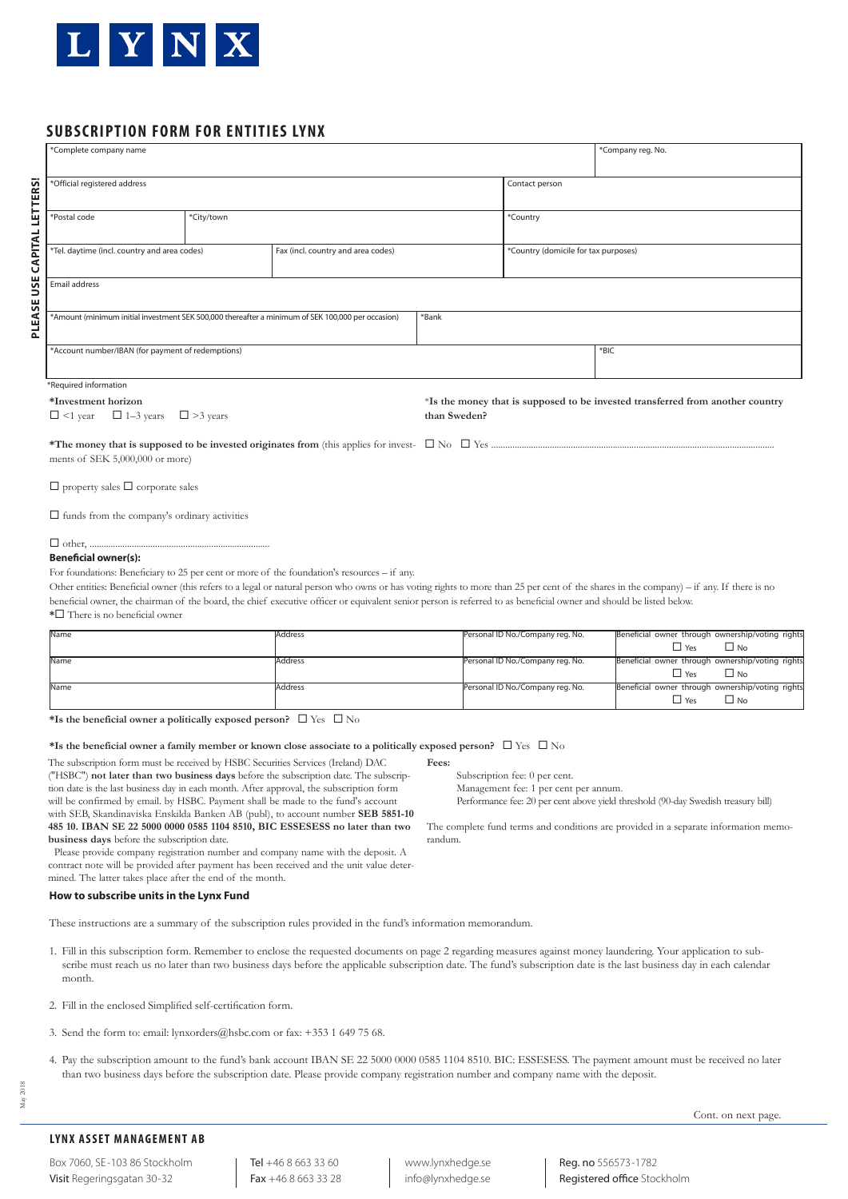

# **SUBSCRIPTION FORM FOR ENTITIES LYNX**

| *Complete company name                                                                                     |            |                                    | *Company reg. No. |                                      |         |  |
|------------------------------------------------------------------------------------------------------------|------------|------------------------------------|-------------------|--------------------------------------|---------|--|
|                                                                                                            |            |                                    |                   |                                      |         |  |
| *Official registered address                                                                               |            | Contact person                     |                   |                                      |         |  |
|                                                                                                            |            |                                    |                   |                                      |         |  |
|                                                                                                            |            |                                    |                   |                                      |         |  |
| *Postal code                                                                                               | *City/town |                                    |                   | *Country                             |         |  |
|                                                                                                            |            |                                    |                   |                                      |         |  |
| *Tel. daytime (incl. country and area codes)                                                               |            | Fax (incl. country and area codes) |                   | *Country (domicile for tax purposes) |         |  |
|                                                                                                            |            |                                    |                   |                                      |         |  |
| Email address                                                                                              |            |                                    |                   |                                      |         |  |
|                                                                                                            |            |                                    |                   |                                      |         |  |
| *Amount (minimum initial investment SEK 500,000 thereafter a minimum of SEK 100,000 per occasion)<br>*Bank |            |                                    |                   |                                      |         |  |
|                                                                                                            |            |                                    |                   |                                      |         |  |
| *Account number/IBAN (for payment of redemptions)                                                          |            |                                    |                   |                                      | $*$ BIC |  |
|                                                                                                            |            |                                    |                   |                                      |         |  |
| *Required information                                                                                      |            |                                    |                   |                                      |         |  |

**\*Investment horizon**  $\Box$  <1 year  $\Box$  1–3 years  $\Box$  >3 years \***Is the money that is supposed to be invested transferred from another country than Sweden?**

**\*The money that is supposed to be invested originates from** (this applies for invest- No Yes ......................................................................................................................... ments of SEK 5,000,000 or more)

#### $\square$  property sales  $\square$  corporate sales

 $\Box$  funds from the company's ordinary activities

# $\Box$  other,

**PLEASE USE CAPITAL LETTERS!** 

PLEASE USE CAPITAL LETTERS!

#### **Beneficial owner(s):**

For foundations: Beneficiary to 25 per cent or more of the foundation's resources – if any.

Other entities: Beneficial owner (this refers to a legal or natural person who owns or has voting rights to more than 25 per cent of the shares in the company) – if any. If there is no beneficial owner, the chairman of the board, the chief executive officer or equivalent senior person is referred to as beneficial owner and should be listed below. **\*** There is no beneficial owner

| Name | <b>Address</b> | Personal ID No./Company reg. No. | Beneficial owner through ownership/voting rights |
|------|----------------|----------------------------------|--------------------------------------------------|
|      |                |                                  | $\Box$ No.<br>$\Box$ Yes                         |
| Name | Address        | Personal ID No./Company reg. No. | Beneficial owner through ownership/voting rights |
|      |                |                                  | $\Box$ No.<br>$\Box$ Yes                         |
| Name | Address        | Personal ID No./Company reg. No. | Beneficial owner through ownership/voting rights |
|      |                |                                  | $\square$ No<br>$\Box$ Yes                       |

**Fees:**

randum.

Subscription fee: 0 per cent. Management fee: 1 per cent per annum.

\*Is the beneficial owner a politically exposed person?  $\Box$  Yes  $\Box$  No

#### \*Is the beneficial owner a family member or known close associate to a politically exposed person?  $\Box$  Yes  $\Box$  No

The subscription form must be received by HSBC Securities Services (Ireland) DAC ("HSBC") **not later than two business days** before the subscription date. The subscription date is the last business day in each month. After approval, the subscription form will be confirmed by email. by HSBC. Payment shall be made to the fund's account with SEB, Skandinaviska Enskilda Banken AB (publ), to account number **SEB 5851-10 485 10. IBAN SE 22 5000 0000 0585 1104 8510, BIC ESSESESS no later than two business days** before the subscription date.

 Please provide company registration number and company name with the deposit. A contract note will be provided after payment has been received and the unit value determined. The latter takes place after the end of the month.

#### **How to subscribe units in the Lynx Fund**

These instructions are a summary of the subscription rules provided in the fund's information memorandum.

- 1. Fill in this subscription form. Remember to enclose the requested documents on page 2 regarding measures against money laundering. Your application to subscribe must reach us no later than two business days before the applicable subscription date. The fund's subscription date is the last business day in each calendar month.
- 2. Fill in the enclosed Simplified self-certification form.
- 3. Send the form to: email: lynxorders@hsbc.com or fax: +353 1 649 75 68.
- 4. Pay the subscription amount to the fund's bank account IBAN SE 22 5000 0000 0585 1104 8510. BIC: ESSESESS. The payment amount must be received no later than two business days before the subscription date. Please provide company registration number and company name with the deposit.

### **LYNX ASSET MANAGEMENT AB**

Box 7060, SE-103 86 Stockholm Visit Regeringsgatan 30-32

Tel +46 8 663 33 60 Fax +46 8 663 33 28 www.lynxhedge.se info@lynxhedge.se

Reg. no 556573-1782 Registered office Stockholm

Performance fee: 20 per cent above yield threshold (90-day Swedish treasury bill) The complete fund terms and conditions are provided in a separate information memo-

Cont. on next page.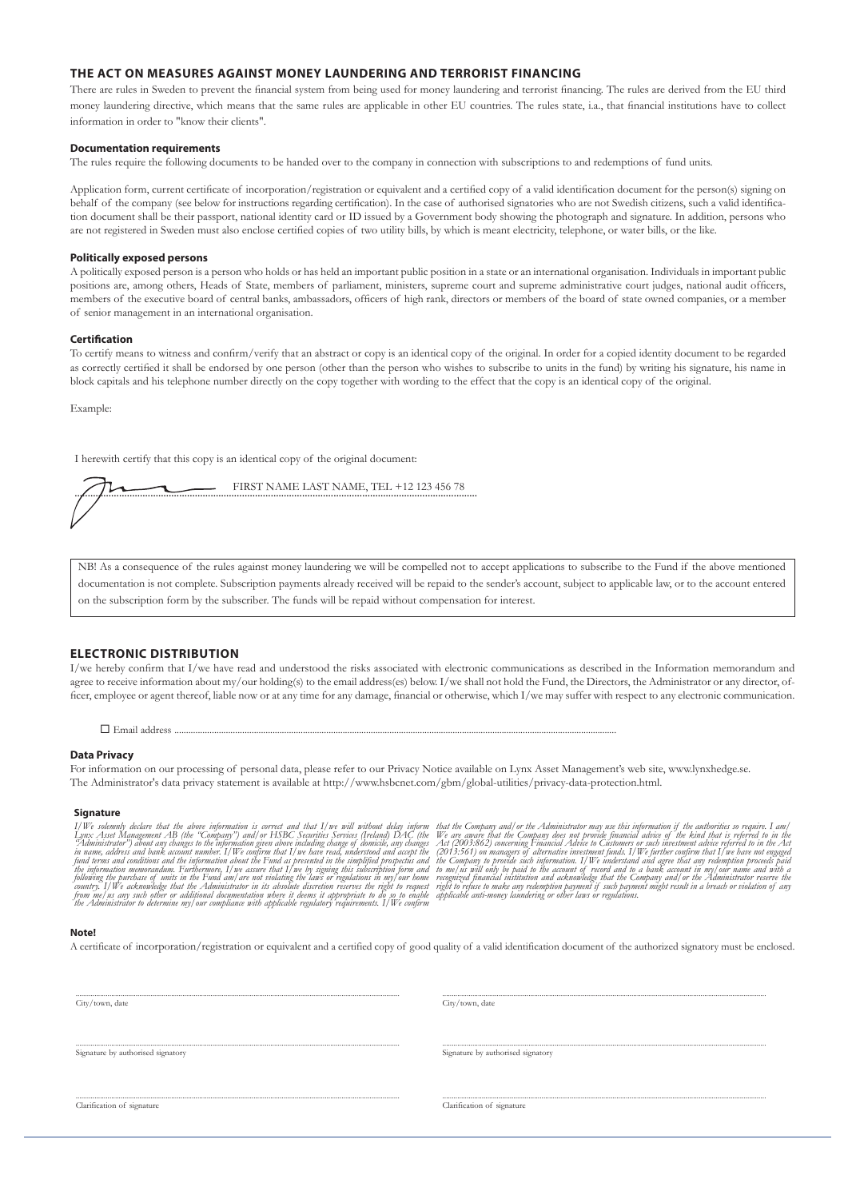### **THE ACT ON MEASURES AGAINST MONEY LAUNDERING AND TERRORIST FINANCING**

There are rules in Sweden to prevent the financial system from being used for money laundering and terrorist financing. The rules are derived from the EU third money laundering directive, which means that the same rules are applicable in other EU countries. The rules state, i.a., that financial institutions have to collect information in order to "know their clients".

### **Documentation requirements**

The rules require the following documents to be handed over to the company in connection with subscriptions to and redemptions of fund units.

Application form, current certificate of incorporation/registration or equivalent and a certified copy of a valid identification document for the person(s) signing on behalf of the company (see below for instructions regarding certification). In the case of authorised signatories who are not Swedish citizens, such a valid identification document shall be their passport, national identity card or ID issued by a Government body showing the photograph and signature. In addition, persons who are not registered in Sweden must also enclose certified copies of two utility bills, by which is meant electricity, telephone, or water bills, or the like.

#### **Politically exposed persons**

A politically exposed person is a person who holds or has held an important public position in a state or an international organisation. Individuals in important public positions are, among others, Heads of State, members of parliament, ministers, supreme court and supreme administrative court judges, national audit officers, members of the executive board of central banks, ambassadors, officers of high rank, directors or members of the board of state owned companies, or a member of senior management in an international organisation.

#### **Certification**

To certify means to witness and confirm/verify that an abstract or copy is an identical copy of the original. In order for a copied identity document to be regarded as correctly certified it shall be endorsed by one person (other than the person who wishes to subscribe to units in the fund) by writing his signature, his name in block capitals and his telephone number directly on the copy together with wording to the effect that the copy is an identical copy of the original.

Example:

I herewith certify that this copy is an identical copy of the original document:

FIRST NAME LAST NAME, TEL +12 123 456 78

NB! As a consequence of the rules against money laundering we will be compelled not to accept applications to subscribe to the Fund if the above mentioned documentation is not complete. Subscription payments already received will be repaid to the sender's account, subject to applicable law, or to the account entered on the subscription form by the subscriber. The funds will be repaid without compensation for interest.

### **ELECTRONIC DISTRIBUTION**

I/we hereby confirm that I/we have read and understood the risks associated with electronic communications as described in the Information memorandum and agree to receive information about my/our holding(s) to the email address(es) below. I/we shall not hold the Fund, the Directors, the Administrator or any director, officer, employee or agent thereof, liable now or at any time for any damage, financial or otherwise, which I/we may suffer with respect to any electronic communication.

 $\Box$  Email address

#### **Data Privacy**

For information on our processing of personal data, please refer to our Privacy Notice available on Lynx Asset Management's web site, www.lynxhedge.se. The Administrator's data privacy statement is available at http://www.hsbcnet.com/gbm/global-utilities/privacy-data-protection.html.

#### **Signature**

I] We solemnly declare that the above information is correct and that I] we will without delay inform<br>"Almx Asset Management AB (the "Company") and/or HSBC Securities Services (Ireland) DAC (the<br>"Administrator") about any fund terms and conditions and the information about the Fund as presented in the simplified prospectus and<br>the information memorandum. Furthermore, II we assure that II we by signing this subscription form and<br>following t

that the Company and/or the Administrator may use this information if the authorities so require. I am/<br>We are aware that the Company does not provide financial advice of the kind that is referred to in the Act<br>Act (2003:

.............................................................................................................................................................................

#### **Note!**

A certificate of incorporation/registration or equivalent and a certified copy of good quality of a valid identification document of the authorized signatory must be enclosed.

............................................................................................................................................................................. City/town, date

............................................................................................................................................................................. City/town, date

............................................................................................................................................................................. Signature by authorised signatory

Signature by authorised signatory

............................................................................................................................................................................. Clarification of signature

............................................................................................................................................................................. Clarification of signature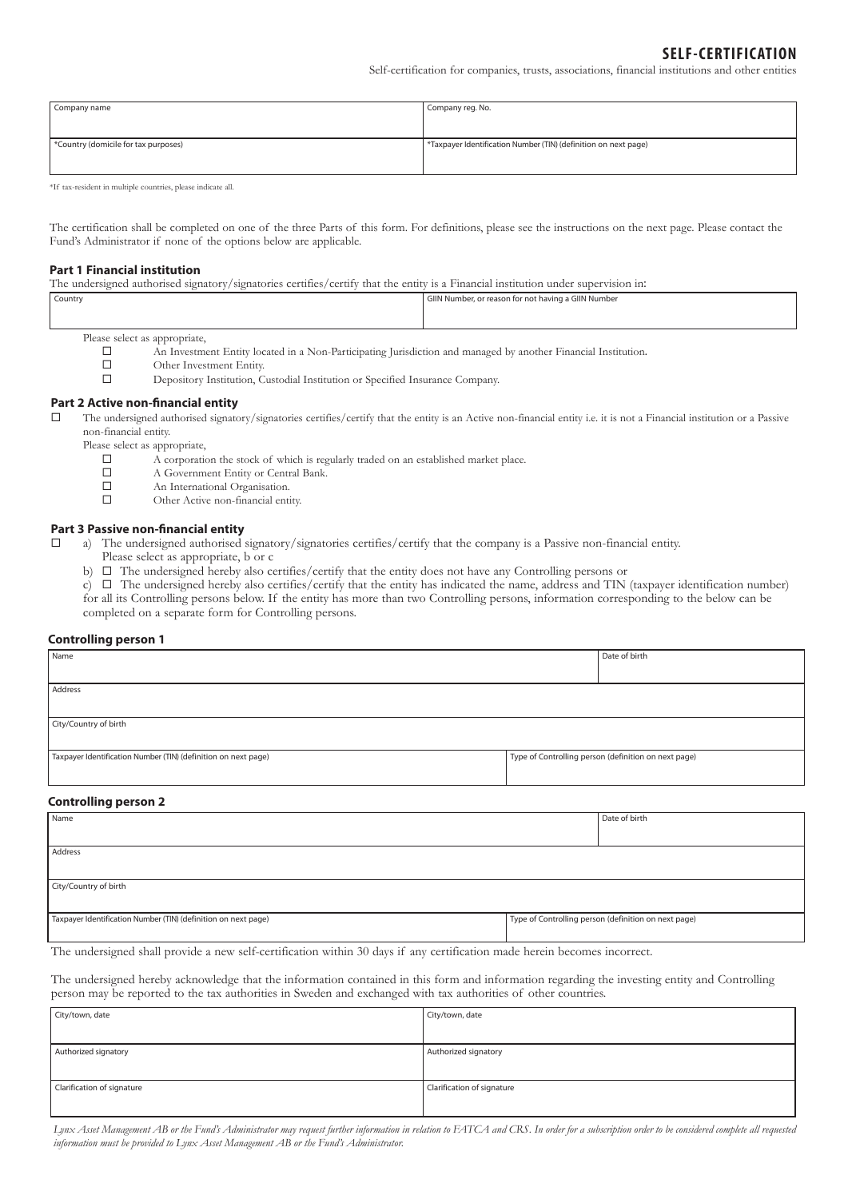# **SELF-CERTIFICATION**

Self-certification for companies, trusts, associations, financial institutions and other entities

| Company name                         | Company reg. No.                                                |
|--------------------------------------|-----------------------------------------------------------------|
|                                      |                                                                 |
| *Country (domicile for tax purposes) | *Taxpayer Identification Number (TIN) (definition on next page) |
|                                      |                                                                 |

\*If tax-resident in multiple countries, please indicate all.

The certification shall be completed on one of the three Parts of this form. For definitions, please see the instructions on the next page. Please contact the Fund's Administrator if none of the options below are applicable.

#### **Part 1 Financial institution**

The undersigned authorised signatory/signatories certifies/certify that the entity is a Financial institution under supervision in:

| Country |                                                                                                                                                                                                                               |  |  | GIIN Number, or reason for not having a GIIN Number |
|---------|-------------------------------------------------------------------------------------------------------------------------------------------------------------------------------------------------------------------------------|--|--|-----------------------------------------------------|
|         |                                                                                                                                                                                                                               |  |  |                                                     |
|         |                                                                                                                                                                                                                               |  |  |                                                     |
|         | $1.1$ $1.1$ $1.1$ $1.1$ $1.1$ $1.1$ $1.1$ $1.1$ $1.1$ $1.1$ $1.1$ $1.1$ $1.1$ $1.1$ $1.1$ $1.1$ $1.1$ $1.1$ $1.1$ $1.1$ $1.1$ $1.1$ $1.1$ $1.1$ $1.1$ $1.1$ $1.1$ $1.1$ $1.1$ $1.1$ $1.1$ $1.1$ $1.1$ $1.1$ $1.1$ $1.1$ $1.1$ |  |  |                                                     |

Please select as appropriate,<br> $\square$  An Investment

- An Investment Entity located in a Non-Participating Jurisdiction and managed by another Financial Institution.
- Other Investment Entity.
- Depository Institution, Custodial Institution or Specified Insurance Company.

#### **Part 2 Active non-financial entity**

 The undersigned authorised signatory/signatories certifies/certify that the entity is an Active non-financial entity i.e. it is not a Financial institution or a Passive non-financial entity.

Please select as appropriate,

- $\Box$  A corporation the stock of which is regularly traded on an established market place.<br> $\Box$  A Government Entity or Central Bank.
- □ A Government Entity or Central Bank.<br>□ An International Organisation
- $\square$  An International Organisation.<br>  $\square$  Other Active non-financial ent
	- Other Active non-financial entity.

#### **Part 3 Passive non-financial entity**

- $\Box$  a) The undersigned authorised signatory/signatories certifies/certify that the company is a Passive non-financial entity.
	- Please select as appropriate, b or c
	- b)  $\Box$  The undersigned hereby also certifies/certify that the entity does not have any Controlling persons or

c)  $\Box$  The undersigned hereby also certifies/certify that the entity has indicated the name, address and TIN (taxpayer identification number) for all its Controlling persons below. If the entity has more than two Controlling persons, information corresponding to the below can be completed on a separate form for Controlling persons.

#### **Controlling person 1**

| Name                                                           | Date of birth                                        |
|----------------------------------------------------------------|------------------------------------------------------|
|                                                                |                                                      |
| Address                                                        |                                                      |
|                                                                |                                                      |
| City/Country of birth                                          |                                                      |
|                                                                |                                                      |
| Taxpayer Identification Number (TIN) (definition on next page) | Type of Controlling person (definition on next page) |
|                                                                |                                                      |
|                                                                |                                                      |

### **Controlling person 2**

| Name                                                           | Date of birth                                        |
|----------------------------------------------------------------|------------------------------------------------------|
| Address                                                        |                                                      |
| City/Country of birth                                          |                                                      |
| Taxpayer Identification Number (TIN) (definition on next page) | Type of Controlling person (definition on next page) |

The undersigned shall provide a new self-certification within 30 days if any certification made herein becomes incorrect.

The undersigned hereby acknowledge that the information contained in this form and information regarding the investing entity and Controlling person may be reported to the tax authorities in Sweden and exchanged with tax authorities of other countries.

| City/town, date            | City/town, date            |
|----------------------------|----------------------------|
|                            |                            |
| Authorized signatory       | Authorized signatory       |
|                            |                            |
| Clarification of signature | Clarification of signature |
|                            |                            |

*Lynx Asset Management AB or the Fund's Administrator may request further information in relation to FATCA and CRS. In order for a subscription order to be considered complete all requested information must be provided to Lynx Asset Management AB or the Fund's Administrator.*